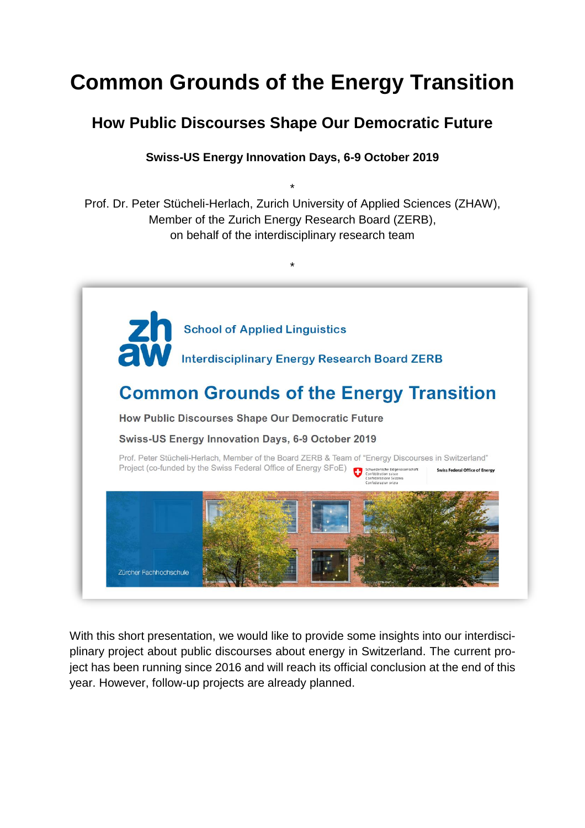# **Common Grounds of the Energy Transition**

## **How Public Discourses Shape Our Democratic Future**

### **Swiss-US Energy Innovation Days, 6-9 October 2019**

\* Prof. Dr. Peter Stücheli-Herlach, Zurich University of Applied Sciences (ZHAW), Member of the Zurich Energy Research Board (ZERB), on behalf of the interdisciplinary research team



With this short presentation, we would like to provide some insights into our interdisciplinary project about public discourses about energy in Switzerland. The current project has been running since 2016 and will reach its official conclusion at the end of this year. However, follow-up projects are already planned.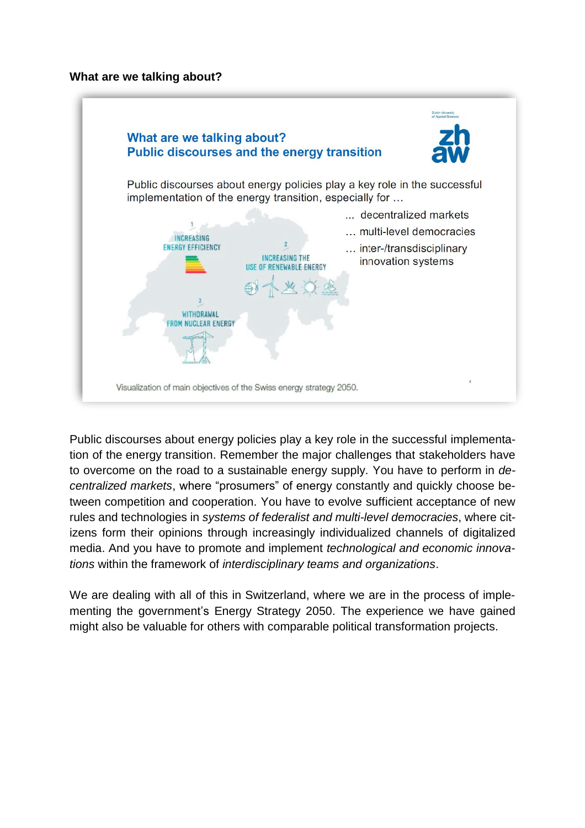#### **What are we talking about?**



Public discourses about energy policies play a key role in the successful implementation of the energy transition. Remember the major challenges that stakeholders have to overcome on the road to a sustainable energy supply. You have to perform in *decentralized markets*, where "prosumers" of energy constantly and quickly choose between competition and cooperation. You have to evolve sufficient acceptance of new rules and technologies in *systems of federalist and multi-level democracies*, where citizens form their opinions through increasingly individualized channels of digitalized media. And you have to promote and implement *technological and economic innovations* within the framework of *interdisciplinary teams and organizations*.

We are dealing with all of this in Switzerland, where we are in the process of implementing the government's Energy Strategy 2050. The experience we have gained might also be valuable for others with comparable political transformation projects.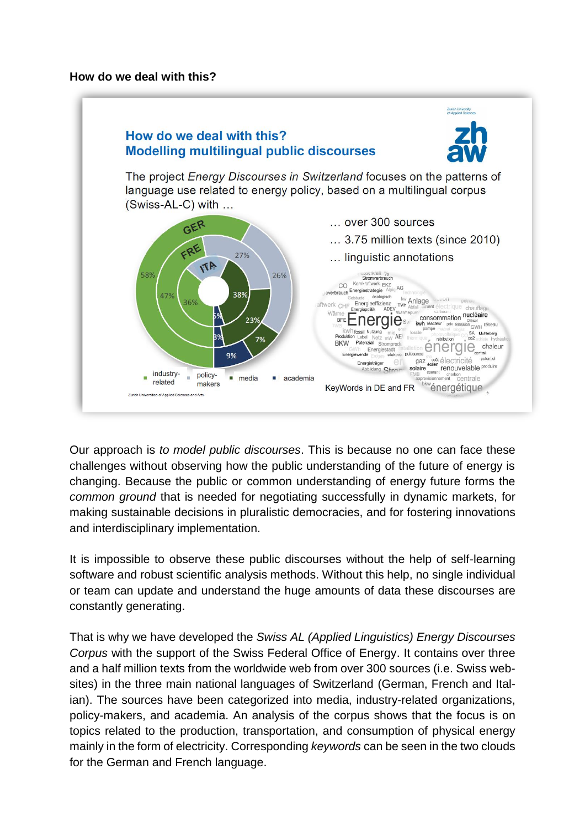#### **How do we deal with this?**



Our approach is *to model public discourses*. This is because no one can face these challenges without observing how the public understanding of the future of energy is changing. Because the public or common understanding of energy future forms the *common ground* that is needed for negotiating successfully in dynamic markets, for making sustainable decisions in pluralistic democracies, and for fostering innovations and interdisciplinary implementation.

It is impossible to observe these public discourses without the help of self-learning software and robust scientific analysis methods. Without this help, no single individual or team can update and understand the huge amounts of data these discourses are constantly generating.

That is why we have developed the *Swiss AL (Applied Linguistics) Energy Discourses Corpus* with the support of the Swiss Federal Office of Energy. It contains over three and a half million texts from the worldwide web from over 300 sources (i.e. Swiss websites) in the three main national languages of Switzerland (German, French and Italian). The sources have been categorized into media, industry-related organizations, policy-makers, and academia. An analysis of the corpus shows that the focus is on topics related to the production, transportation, and consumption of physical energy mainly in the form of electricity. Corresponding *keywords* can be seen in the two clouds for the German and French language.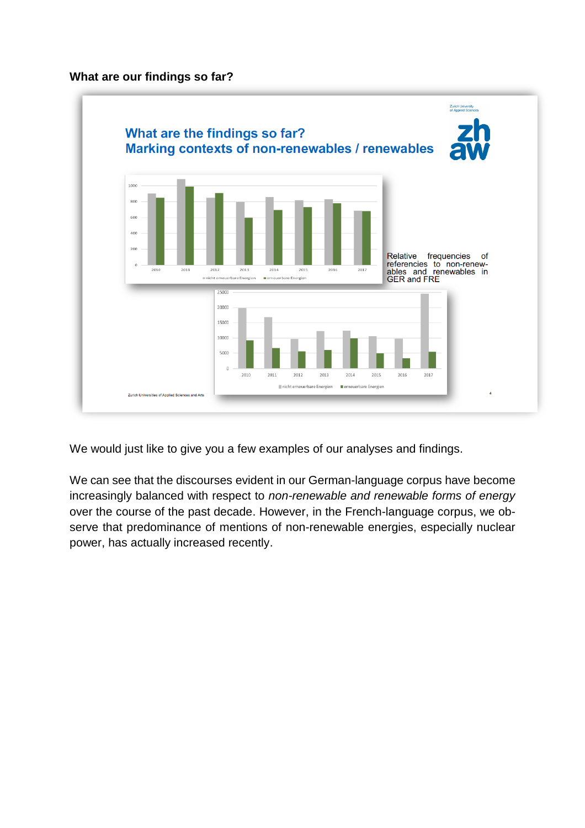#### **What are our findings so far?**



We would just like to give you a few examples of our analyses and findings.

We can see that the discourses evident in our German-language corpus have become increasingly balanced with respect to *non-renewable and renewable forms of energy* over the course of the past decade. However, in the French-language corpus, we observe that predominance of mentions of non-renewable energies, especially nuclear power, has actually increased recently.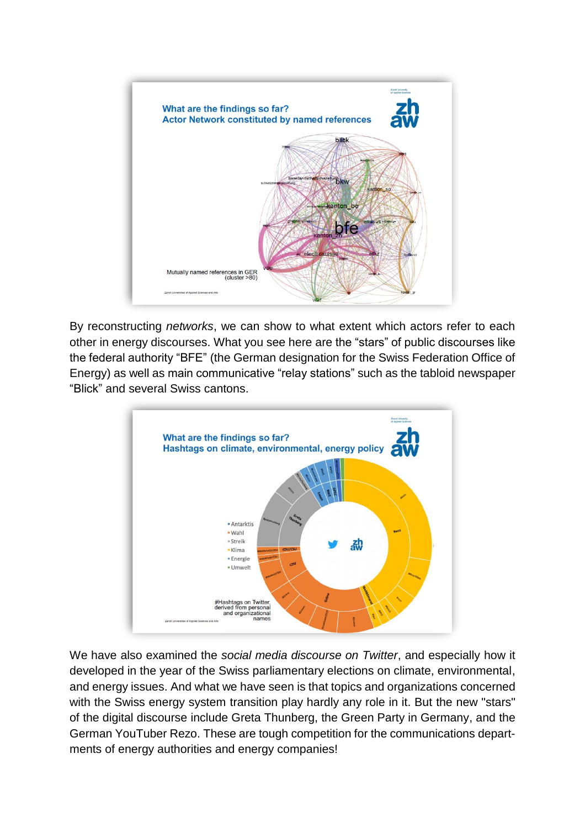

By reconstructing *networks*, we can show to what extent which actors refer to each other in energy discourses. What you see here are the "stars" of public discourses like the federal authority "BFE" (the German designation for the Swiss Federation Office of Energy) as well as main communicative "relay stations" such as the tabloid newspaper "Blick" and several Swiss cantons.



We have also examined the *social media discourse on Twitter*, and especially how it developed in the year of the Swiss parliamentary elections on climate, environmental, and energy issues. And what we have seen is that topics and organizations concerned with the Swiss energy system transition play hardly any role in it. But the new "stars" of the digital discourse include Greta Thunberg, the Green Party in Germany, and the German YouTuber Rezo. These are tough competition for the communications departments of energy authorities and energy companies!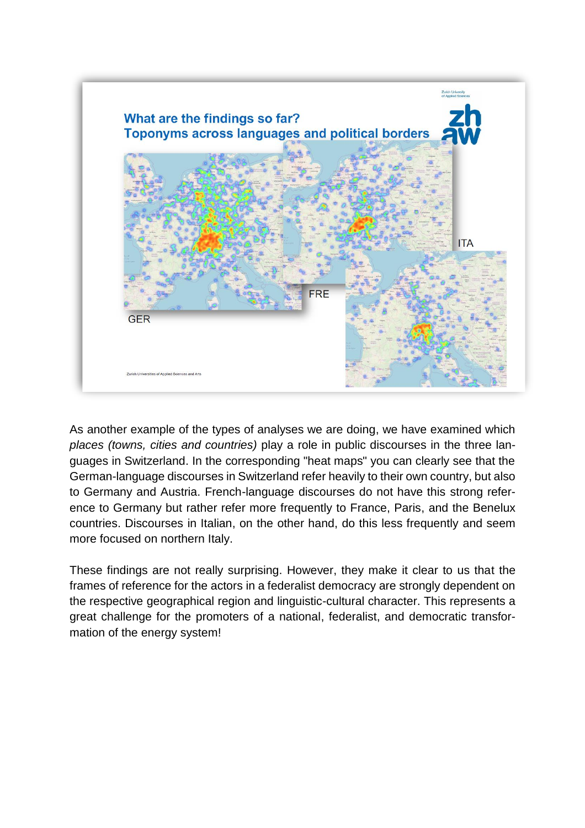

As another example of the types of analyses we are doing, we have examined which *places (towns, cities and countries)* play a role in public discourses in the three languages in Switzerland. In the corresponding "heat maps" you can clearly see that the German-language discourses in Switzerland refer heavily to their own country, but also to Germany and Austria. French-language discourses do not have this strong reference to Germany but rather refer more frequently to France, Paris, and the Benelux countries. Discourses in Italian, on the other hand, do this less frequently and seem more focused on northern Italy.

These findings are not really surprising. However, they make it clear to us that the frames of reference for the actors in a federalist democracy are strongly dependent on the respective geographical region and linguistic-cultural character. This represents a great challenge for the promoters of a national, federalist, and democratic transformation of the energy system!